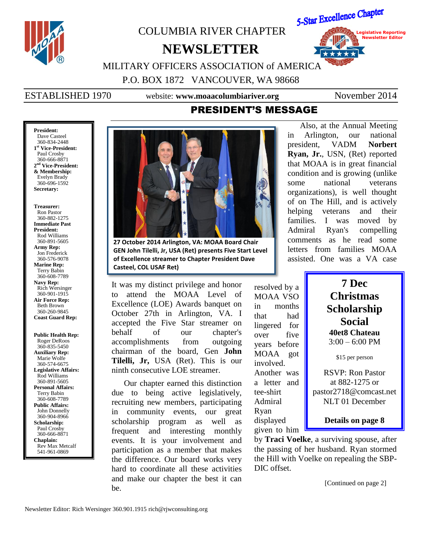

### **President:** Dave Casteel 360-834-2448 **1 st Vice-President:** Paul Crosby 360-666-8871 **2 nd Vice-President: & Membership:** Evelyn Brady 360-696-1592 **Secretary:**

**Treasurer:** Ron Pastor 360-882-1275 **Immediate Past President:** Rod Williams 360-891-5605 **Army Rep:** Jon Frederick 360-576-9078 **Marine Rep:** Terry Babin 360-608-7789 **Navy Rep:** Rich Wersinger 360-901-1915 **Air Force Rep:** Beth Brown 360-260-9845 **Coast Guard Rep:**

**Public Health Rep:** Roger DeRoos 360-835-5450 **Auxiliary Rep:** Marie Wolfe 360-574-6675 **Legislative Affairs:** Rod Williams 360-891-5605 **Personal Affairs:** Terry Babin 360-608-7789 **Public Affairs:** John Donnelly 360-904-8966 **Scholarship:** Paul Crosby 360-666-8871 **Chaplain:** Rev Max Metcalf 541-961-0869



**27 October 2014 Arlington, VA: MOAA Board Chair GEN John Tilelli, Jr, USA (Ret) presents Five Start Level of Excellence streamer to Chapter President Dave Casteel, COL USAF Ret)**

It was my distinct privilege and honor to attend the MOAA Level of Excellence (LOE) Awards banquet on October 27th in Arlington, VA. I accepted the Five Star streamer on behalf of our chapter's accomplishments from outgoing chairman of the board, Gen **John Tilelli, Jr,** USA (Ret). This is our ninth consecutive LOE streamer.

Our chapter earned this distinction due to being active legislatively, recruiting new members, participating in community events, our great scholarship program as well as frequent and interesting monthly events. It is your involvement and participation as a member that makes the difference. Our board works very hard to coordinate all these activities and make our chapter the best it can be.

resolved by a MOAA VSO in months that had lingered for over five years before MOAA got involved. Another was a letter and tee-shirt Admiral Ryan displayed given to him

Also, at the Annual Meeting in Arlington, our national president, VADM **Norbert Ryan, Jr.**, USN, (Ret) reported that MOAA is in great financial condition and is growing (unlike some national veterans organizations), is well thought of on The Hill, and is actively helping veterans and their families. I was moved by Admiral Ryan's compelling comments as he read some letters from families MOAA assisted. One was a VA case

## **7 Dec Christmas Scholarship Social 40et8 Chateau** 3:00 – 6:00 PM

\$15 per person

RSVP: Ron Pastor at 882-1275 or pastor2718@comcast.net NLT 01 December

**Details on page 8**

by **Traci Voelke**, a surviving spouse, after the passing of her husband. Ryan stormed the Hill with Voelke on repealing the SBP-DIC offset.

[Continued on page 2]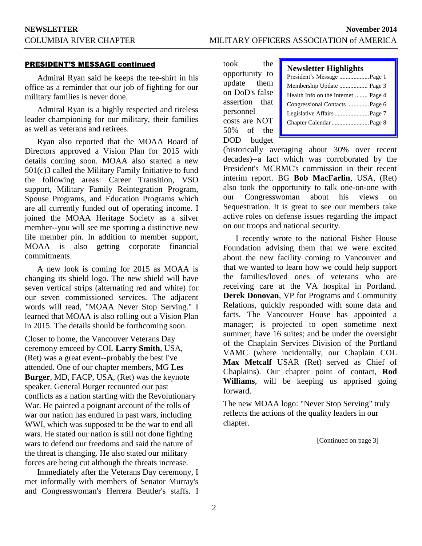## PRESIDENT'S MESSAGE continued

Admiral Ryan said he keeps the tee-shirt in his office as a reminder that our job of fighting for our military families is never done.

Admiral Ryan is a highly respected and tireless leader championing for our military, their families as well as veterans and retirees.

Ryan also reported that the MOAA Board of Directors approved a Vision Plan for 2015 with details coming soon. MOAA also started a new 501(c)3 called the Military Family Initiative to fund the following areas: Career Transition, VSO support, Military Family Reintegration Program, Spouse Programs, and Education Programs which are all currently funded out of operating income. I joined the MOAA Heritage Society as a silver member--you will see me sporting a distinctive new life member pin. In addition to member support, MOAA is also getting corporate financial commitments.

A new look is coming for 2015 as MOAA is changing its shield logo. The new shield will have seven vertical strips (alternating red and white) for our seven commissioned services. The adjacent words will read, "MOAA Never Stop Serving." I learned that MOAA is also rolling out a Vision Plan in 2015. The details should be forthcoming soon.

Closer to home, the Vancouver Veterans Day ceremony emceed by COL **Larry Smith**, USA, (Ret) was a great event--probably the best I've attended. One of our chapter members, MG **Les Burger**, MD, FACP, USA, (Ret) was the keynote speaker. General Burger recounted our past conflicts as a nation starting with the Revolutionary War. He painted a poignant account of the tolls of war our nation has endured in past wars, including WWI, which was supposed to be the war to end all wars. He stated our nation is still not done fighting wars to defend our freedoms and said the nature of the threat is changing. He also stated our military forces are being cut although the threats increase.

Immediately after the Veterans Day ceremony, I met informally with members of Senator Murray's and Congresswoman's Herrera Beutler's staffs. I took the opportunity to update them on DoD's false assertion that personnel costs are NOT 50% of the DOD budget

| <b>Newsletter Highlights</b>        |
|-------------------------------------|
| President's Message Page 1          |
| Membership Update  Page 3           |
| Health Info on the Internet  Page 4 |
| Congressional Contacts Page 6       |
|                                     |
|                                     |
|                                     |

(historically averaging about 30% over recent decades)--a fact which was corroborated by the President's MCRMC's commission in their recent interim report. BG **Bob MacFarlin**, USA, (Ret) also took the opportunity to talk one-on-one with our Congresswoman about his views on Sequestration. It is great to see our members take active roles on defense issues regarding the impact on our troops and national security.

I recently wrote to the national Fisher House Foundation advising them that we were excited about the new facility coming to Vancouver and that we wanted to learn how we could help support the families/loved ones of veterans who are receiving care at the VA hospital in Portland. **Derek Donovan**, VP for Programs and Community Relations, quickly responded with some data and facts. The Vancouver House has appointed a manager; is projected to open sometime next summer; have 16 suites; and be under the oversight of the Chaplain Services Division of the Portland VAMC (where incidentally, our Chaplain COL **Max Metcalf** USAR (Ret) served as Chief of Chaplains). Our chapter point of contact, **Rod Williams**, will be keeping us apprised going forward.

The new MOAA logo: "Never Stop Serving" truly reflects the actions of the quality leaders in our chapter.

[Continued on page 3]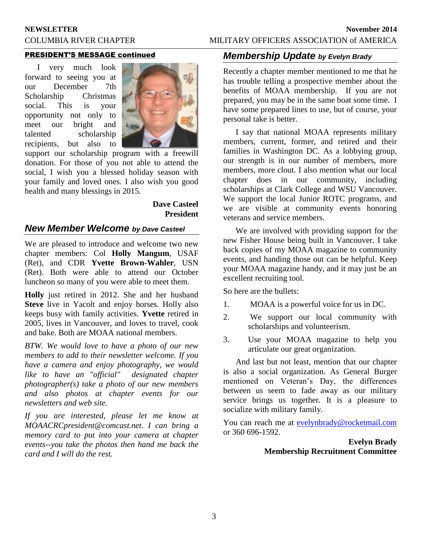## **NEWSLETTER November 2014** COLUMBIA RIVER CHAPTER MILITARY OFFICERS ASSOCIATION of AMERICA

## PRESIDENT'S MESSAGE continued

I very much look forward to seeing you at our December 7th Scholarship Christmas social. This is your opportunity not only to meet our bright and talented scholarship recipients, but also to



support our scholarship program with a freewill donation. For those of you not able to attend the social, I wish you a blessed holiday season with your family and loved ones. I also wish you good health and many blessings in 2015.

## **Dave Casteel President**

## *New Member Welcome by Dave Casteel*

We are pleased to introduce and welcome two new chapter members: Col **Holly Mangum**, USAF (Ret), and CDR **Yvette Brown-Wahler**, USN (Ret). Both were able to attend our October luncheon so many of you were able to meet them.

**Holly** just retired in 2012. She and her husband **Steve** live in Yacolt and enjoy horses. Holly also keeps busy with family activities. **Yvette** retired in 2005, lives in Vancouver, and loves to travel, cook and bake. Both are MOAA national members.

*BTW. We would love to have a photo of our new members to add to their newsletter welcome. If you have a camera and enjoy photography, we would like to have an "official" designated chapter photographer(s) take a photo of our new members and also photos at chapter events for our newsletters and web site.* 

*If you are interested, please let me know at MOAACRCpresident@comcast.net. I can bring a memory card to put into your camera at chapter events--you take the photos then hand me back the card and I will do the rest.*

## *Membership Update by Evelyn Brady*

Recently a chapter member mentioned to me that he has trouble telling a prospective member about the benefits of MOAA membership. If you are not prepared, you may be in the same boat some time. I have some prepared lines to use, but of course, your personal take is better.

I say that national MOAA represents military members, current, former, and retired and their families in Washington DC. As a lobbying group, our strength is in our number of members, more members, more clout. I also mention what our local chapter does in our community, including scholarships at Clark College and WSU Vancouver. We support the local Junior ROTC programs, and we are visible at community events honoring veterans and service members.

We are involved with providing support for the new Fisher House being built in Vancouver. I take back copies of my MOAA magazine to community events, and handing those out can be helpful. Keep your MOAA magazine handy, and it may just be an excellent recruiting tool.

So here are the bullets:

- 1. MOAA is a powerful voice for us in DC.
- 2. We support our local community with scholarships and volunteerism.
- 3. Use your MOAA magazine to help you articulate our great organization.

And last but not least, mention that our chapter is also a social organization. As General Burger mentioned on Veteran's Day, the differences between us seem to fade away as our military service brings us together. It is a pleasure to socialize with military family.

You can reach me at **evelynbrady@rocketmail.com** or 360 696-1592.

> **Evelyn Brady Membership Recruitment Committee**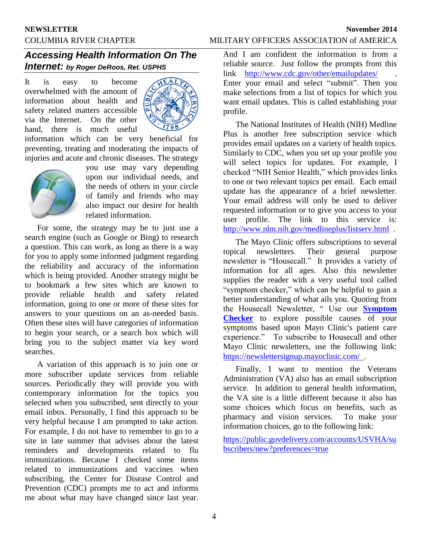## *Accessing Health Information On The Internet: by Roger DeRoos, Ret. USPHS*

It is easy to become overwhelmed with the amount of information about health and safety related matters accessible via the Internet. On the other hand, there is much useful



information which can be very beneficial for preventing, treating and moderating the impacts of injuries and acute and chronic diseases. The strategy



you use may vary depending upon our individual needs, and the needs of others in your circle of family and friends who may also impact our desire for health related information.

For some, the strategy may be to just use a search engine (such as Google or Bing) to research a question. This can work, as long as there is a way for you to apply some informed judgment regarding the reliability and accuracy of the information which is being provided. Another strategy might be to bookmark a few sites which are known to provide reliable health and safety related information, going to one or more of these sites for answers to your questions on an as-needed basis. Often these sites will have categories of information to begin your search, or a search box which will bring you to the subject matter via key word searches.

A variation of this approach is to join one or more subscriber update services from reliable sources. Periodically they will provide you with contemporary information for the topics you selected when you subscribed, sent directly to your email inbox. Personally, I find this approach to be very helpful because I am prompted to take action. For example, I do not have to remember to go to a site in late summer that advises about the latest reminders and developments related to flu immunizations. Because I checked some items related to immunizations and vaccines when subscribing, the Center for Disease Control and Prevention (CDC) prompts me to act and informs me about what may have changed since last year.

And I am confident the information is from a reliable source. Just follow the prompts from this link <http://www.cdc.gov/other/emailupdates/>. Enter your email and select "submit". Then you make selections from a list of topics for which you want email updates. This is called establishing your profile.

The National Institutes of Health (NIH) Medline Plus is another free subscription service which provides email updates on a variety of health topics. Similarly to CDC, when you set up your profile you will select topics for updates. For example, I checked "NIH Senior Health," which provides links to one or two relevant topics per email. Each email update has the appearance of a brief newsletter. Your email address will only be used to deliver requested information or to give you access to your user profile. The link to this service is: <http://www.nlm.nih.gov/medlineplus/listserv.html>.

The Mayo Clinic offers subscriptions to several topical newsletters. Their general purpose newsletter is "Housecall." It provides a variety of information for all ages. Also this newsletter supplies the reader with a very useful tool called "symptom checker," which can be helpful to gain a better understanding of what ails you. Quoting from the Housecall Newsletter, " Use our **[Symptom](http://www.google.com/url?q=http%3A%2F%2Ftracking.waterfrontmedia.com%2Fnlsclick%2Ft.aspx%3Fk%3D202%26d%3D2014%2F10%2F13%26e%3Drlderoos%40gmail.com%26utp%3D%26rd%3Dhttp%3A%2F%2Fwww.mayoclinic.com%2Fhealth%2Fsymptom-checker%2FDS00671%2F%3Futm_source%3Dnewsletter~amp~utm_medium%3Demail~amp~utm_campaign%3Dhousecall&sa=D&sntz=1&usg=AFQjCNG1sKu-fwRM8LOvmVcdNVJ57ZbgwQ)  [Checker](http://www.google.com/url?q=http%3A%2F%2Ftracking.waterfrontmedia.com%2Fnlsclick%2Ft.aspx%3Fk%3D202%26d%3D2014%2F10%2F13%26e%3Drlderoos%40gmail.com%26utp%3D%26rd%3Dhttp%3A%2F%2Fwww.mayoclinic.com%2Fhealth%2Fsymptom-checker%2FDS00671%2F%3Futm_source%3Dnewsletter~amp~utm_medium%3Demail~amp~utm_campaign%3Dhousecall&sa=D&sntz=1&usg=AFQjCNG1sKu-fwRM8LOvmVcdNVJ57ZbgwQ)** to explore possible causes of your symptoms based upon Mayo Clinic's patient care experience." To subscribe to Housecall and other Mayo Clinic newsletters, use the following link: <https://newslettersignup.mayoclinic.com/>.

Finally, I want to mention the Veterans Administration (VA) also has an email subscription service. In addition to general health information, the VA site is a little different because it also has some choices which focus on benefits, such as pharmacy and vision services. To make your pharmacy and vision services. information choices, go to the following link:

[https://public.govdelivery.com/accounts/USVHA/su](https://public.govdelivery.com/accounts/USVHA/subscribers/new?preferences=true) [bscribers/new?preferences=true](https://public.govdelivery.com/accounts/USVHA/subscribers/new?preferences=true)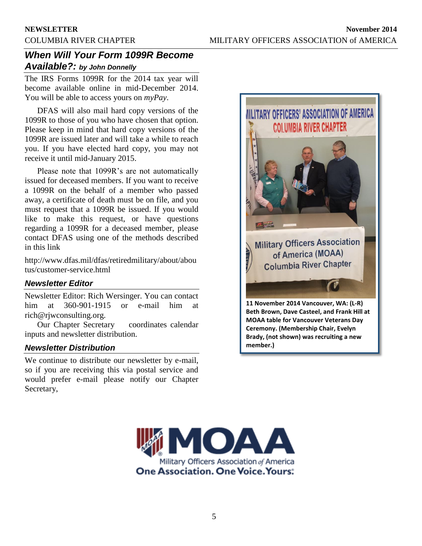## *When Will Your Form 1099R Become Available?: by John Donnelly*

The IRS Forms 1099R for the 2014 tax year will become available online in mid-December 2014. You will be able to access yours on *myPay*.

DFAS will also mail hard copy versions of the 1099R to those of you who have chosen that option. Please keep in mind that hard copy versions of the 1099R are issued later and will take a while to reach you. If you have elected hard copy, you may not receive it until mid-January 2015.

Please note that 1099R's are not automatically issued for deceased members. If you want to receive a 1099R on the behalf of a member who passed away, a certificate of death must be on file, and you must request that a 1099R be issued. If you would like to make this request, or have questions regarding a 1099R for a deceased member, please contact DFAS using one of the methods described in this link

http://www.dfas.mil/dfas/retiredmilitary/about/abou tus/customer-service.html

## *Newsletter Editor*

Newsletter Editor: Rich Wersinger. You can contact him at 360-901-1915 or e-mail him at rich@rjwconsulting.org.

Our Chapter Secretary coordinates calendar inputs and newsletter distribution.

## *Newsletter Distribution*

We continue to distribute our newsletter by e-mail, so if you are receiving this via postal service and would prefer e-mail please notify our Chapter Secretary,



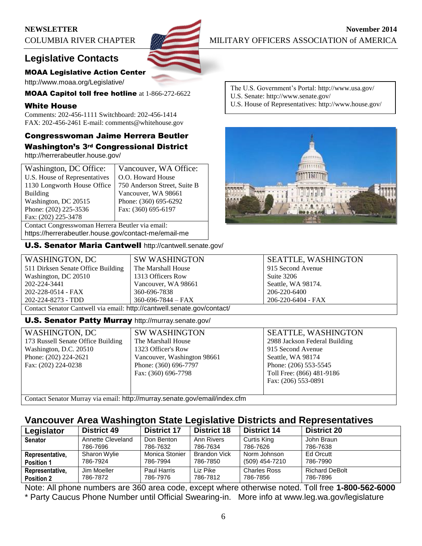## **NEWSLETTER** November 2014



## MOAA Legislative Action Center

http://www.moaa.org/Legislative/

MOAA Capitol toll free hotline at 1-866-272-6622

## White House

Comments: 202-456-1111 Switchboard: 202-456-1414 FAX: 202-456-2461 E-mail: comments@whitehouse.gov

# Congresswoman Jaime Herrera Beutler

Washington's 3rd Congressional District http://herrerabeutler.house.gov/

| Washington, DC Office:                               | Vancouver, WA Office:        |  |
|------------------------------------------------------|------------------------------|--|
| U.S. House of Representatives                        | O.O. Howard House            |  |
| 1130 Longworth House Office                          | 750 Anderson Street, Suite B |  |
| <b>Building</b>                                      | Vancouver, WA 98661          |  |
| Washington, DC 20515                                 | Phone: (360) 695-6292        |  |
| Phone: (202) 225-3536                                | Fax: (360) 695-6197          |  |
| Fax: (202) 225-3478                                  |                              |  |
| Contact Congresswoman Herrera Beutler via email:     |                              |  |
| https://herrerabeutler.house.gov/contact-me/email-me |                              |  |

U.S. Senator Maria Cantwell http://cantwell.senate.gov/

The U.S. Government's Portal: http://www.usa.gov/ U.S. Senate: http://www.senate.gov/ U.S. House of Representatives: http://www.house.gov/



| WASHINGTON, DC                                                          | <b>SW WASHINGTON</b>     | <b>SEATTLE, WASHINGTON</b> |  |
|-------------------------------------------------------------------------|--------------------------|----------------------------|--|
| 511 Dirksen Senate Office Building                                      | The Marshall House       | 915 Second Avenue          |  |
| Washington, DC 20510                                                    | 1313 Officers Row        | Suite 3206                 |  |
| 202-224-3441                                                            | Vancouver, WA 98661      | Seattle, WA 98174.         |  |
| 202-228-0514 - FAX                                                      | 360-696-7838             | 206-220-6400               |  |
| 202-224-8273 - TDD                                                      | $360 - 696 - 7844 - FAX$ | 206-220-6404 - FAX         |  |
| Contact Senator Cantwell via email: http://cantwell.senate.gov/contact/ |                          |                            |  |

## U.S. Senator Patty Murray http://murray.senate.gov/

| <b>WASHINGTON, DC</b>              | <b>SW WASH</b> |
|------------------------------------|----------------|
| 173 Russell Senate Office Building | The Marshall   |
| Washington, D.C. 20510             | 1323 Officer   |
| Phone: (202) 224-2621              | Vancouver, V   |
| Fax: (202) 224-0238                | Phone: (360)   |
|                                    | Fax: (360) 69  |
|                                    |                |
|                                    |                |

HINGTON 1 House 's Row Washington 98661 696-7797 96-7798

SEATTLE, WASHINGTON 2988 Jackson Federal Building 915 Second Avenue Seattle, WA 98174 Phone: (206) 553-5545 Toll Free: (866) 481-9186 Fax: (206) 553-0891

Contact Senator Murray via email: http://murray.senate.gov/email/index.cfm

## **Vancouver Area Washington State Legislative Districts and Representatives**

| Legislator        | <b>District 49</b> | <b>District 17</b> | <b>District 18</b> | <b>District 14</b>  | <b>District 20</b>    |
|-------------------|--------------------|--------------------|--------------------|---------------------|-----------------------|
| <b>Senator</b>    | Annette Cleveland  | Don Benton         | Ann Rivers         | Curtis King         | John Braun            |
|                   | 786-7696           | 786-7632           | 786-7634           | 786-7626            | 786-7638              |
| Representative,   | Sharon Wylie       | Monica Stonier     | Brandon Vick       | Norm Johnson        | Ed Orcutt             |
| <b>Position 1</b> | 786-7924           | 786-7994           | 786-7850           | (509) 454-7210      | 786-7990              |
| Representative,   | Jim Moeller        | Paul Harris        | Liz Pike           | <b>Charles Ross</b> | <b>Richard DeBolt</b> |
| <b>Position 2</b> | 786-7872           | 786-7976           | 786-7812           | 786-7856            | 786-7896              |

Note: All phone numbers are 360 area code, except where otherwise noted. Toll free **1-800-562-6000** \* Party Caucus Phone Number until Official Swearing-in. More info at www.leg.wa.gov/legislature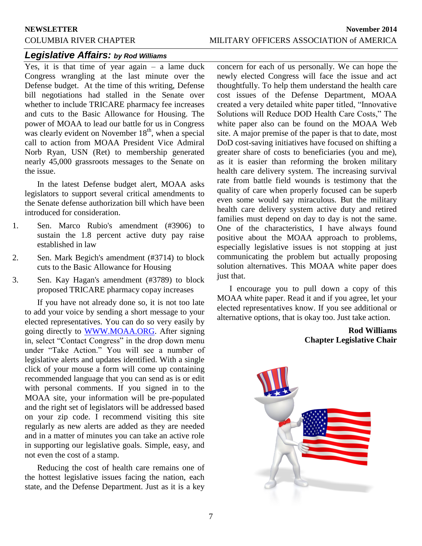## *Legislative Affairs: by Rod Williams*

Yes, it is that time of year again – a lame duck Congress wrangling at the last minute over the Defense budget. At the time of this writing, Defense bill negotiations had stalled in the Senate over whether to include TRICARE pharmacy fee increases and cuts to the Basic Allowance for Housing. The power of MOAA to lead our battle for us in Congress was clearly evident on November  $18<sup>th</sup>$ , when a special call to action from MOAA President Vice Admiral Norb Ryan, USN (Ret) to membership generated nearly 45,000 grassroots messages to the Senate on the issue.

In the latest Defense budget alert, MOAA asks legislators to support several critical amendments to the Senate defense authorization bill which have been introduced for consideration.

- 1. Sen. Marco Rubio's amendment (#3906) to sustain the 1.8 percent active duty pay raise established in law
- 2. Sen. Mark Begich's amendment (#3714) to block cuts to the Basic Allowance for Housing
- 3. Sen. Kay Hagan's amendment (#3789) to block proposed TRICARE pharmacy copay increases

If you have not already done so, it is not too late to add your voice by sending a short message to your elected representatives. You can do so very easily by going directly to [WWW.MOAA.ORG.](http://www.moaa.org/) After signing in, select "Contact Congress" in the drop down menu under "Take Action." You will see a number of legislative alerts and updates identified. With a single click of your mouse a form will come up containing recommended language that you can send as is or edit with personal comments. If you signed in to the MOAA site, your information will be pre-populated and the right set of legislators will be addressed based on your zip code. I recommend visiting this site regularly as new alerts are added as they are needed and in a matter of minutes you can take an active role in supporting our legislative goals. Simple, easy, and not even the cost of a stamp.

Reducing the cost of health care remains one of the hottest legislative issues facing the nation, each state, and the Defense Department. Just as it is a key

concern for each of us personally. We can hope the newly elected Congress will face the issue and act thoughtfully. To help them understand the health care cost issues of the Defense Department, MOAA created a very detailed white paper titled, "Innovative Solutions will Reduce DOD Health Care Costs," The white paper also can be found on the MOAA Web site. A major premise of the paper is that to date, most DoD cost-saving initiatives have focused on shifting a greater share of costs to beneficiaries (you and me), as it is easier than reforming the broken military health care delivery system. The increasing survival rate from battle field wounds is testimony that the quality of care when properly focused can be superb even some would say miraculous. But the military health care delivery system active duty and retired families must depend on day to day is not the same. One of the characteristics, I have always found positive about the MOAA approach to problems, especially legislative issues is not stopping at just communicating the problem but actually proposing solution alternatives. This MOAA white paper does just that.

I encourage you to pull down a copy of this MOAA white paper. Read it and if you agree, let your elected representatives know. If you see additional or alternative options, that is okay too. Just take action.

## **Rod Williams Chapter Legislative Chair**